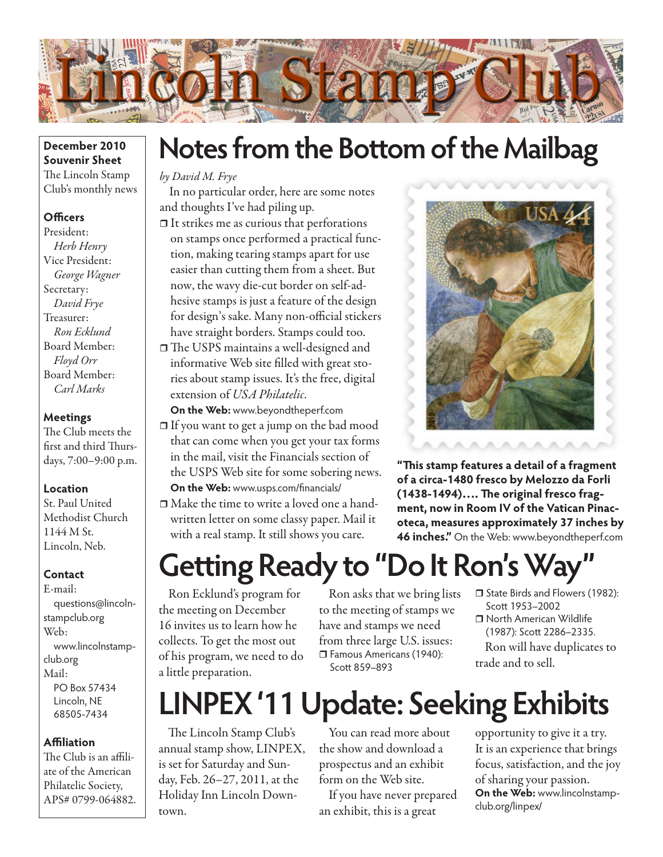

### **December 2010 Souvenir Sheet** The Lincoln Stamp Club's monthly news

### **Officers**

President: *Herb Henry* Vice President: *George Wagner* Secretary: *David Frye* Treasurer: *Ron Ecklund* Board Member: *Floyd Orr* Board Member: *Carl Marks*

### **Meetings**

The Club meets the first and third Thursdays, 7:00–9:00 p.m.

### **Location**

St. Paul United Methodist Church 1144 M St. Lincoln, Neb.

### **Contact**

E-mail: questions@lincolnstampclub.org Web: www.lincolnstampclub.org Mail: PO Box 57434 Lincoln, NE 68505-7434

### **Affiliation**

The Club is an affiliate of the American Philatelic Society, APS# 0799-064882.

## **Notes from the Bottom of the Mailbag**

### *by David M. Frye*

In no particular order, here are some notes and thoughts I've had piling up.

- $\Box$  It strikes me as curious that perforations on stamps once performed a practical function, making tearing stamps apart for use easier than cutting them from a sheet. But now, the wavy die-cut border on self-adhesive stamps is just a feature of the design for design's sake. Many non-official stickers have straight borders. Stamps could too.
- □ The USPS maintains a well-designed and informative Web site filled with great stories about stamp issues. It's the free, digital extension of *USA Philatelic*.

**On the Web:** www.beyondtheperf.com If you want to get a jump on the bad mood that can come when you get your tax forms in the mail, visit the Financials section of the USPS Web site for some sobering news. **On the Web:** www.usps.com/financials/

 Make the time to write a loved one a handwritten letter on some classy paper. Mail it with a real stamp. It still shows you care.



**"This stamp features a detail of a fragment of a circa-1480 fresco by Melozzo da Forli (1438-1494)…. The original fresco fragment, now in Room IV of the Vatican Pinacoteca, measures approximately 37 inches by 46 inches."** On the Web: www.beyondtheperf.com

# **Getting Ready to "Do It Ron's Way"**

Ron Ecklund's program for the meeting on December 16 invites us to learn how he collects. To get the most out of his program, we need to do a little preparation.

Ron asks that we bring lists to the meeting of stamps we have and stamps we need from three large U.S. issues: Famous Americans (1940): Scott 859–893

- □ State Birds and Flowers (1982): Scott 1953–2002
- □ North American Wildlife (1987): Scott 2286–2335. Ron will have duplicates to trade and to sell.

## **LINPEX '11 Update: Seeking Exhibits**

The Lincoln Stamp Club's annual stamp show, LINPEX, is set for Saturday and Sunday, Feb. 26–27, 2011, at the Holiday Inn Lincoln Downtown.

You can read more about the show and download a prospectus and an exhibit form on the Web site.

If you have never prepared an exhibit, this is a great

opportunity to give it a try. It is an experience that brings focus, satisfaction, and the joy of sharing your passion. **On the Web:** www.lincolnstampclub.org/linpex/